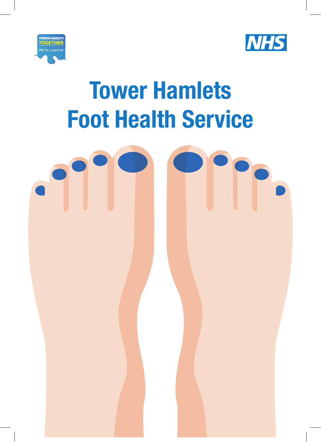



# **Tower Hamlets Foot Health Service**

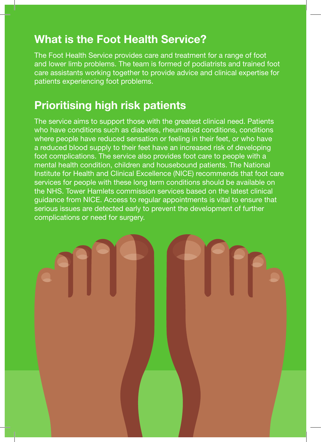#### **What is the Foot Health Service?**

The Foot Health Service provides care and treatment for a range of foot and lower limb problems. The team is formed of podiatrists and trained foot care assistants working together to provide advice and clinical expertise for patients experiencing foot problems.

#### **Prioritising high risk patients**

The service aims to support those with the greatest clinical need. Patients who have conditions such as diabetes, rheumatoid conditions, conditions where people have reduced sensation or feeling in their feet, or who have a reduced blood supply to their feet have an increased risk of developing foot complications. The service also provides foot care to people with a mental health condition, children and housebound patients. The National Institute for Health and Clinical Excellence (NICE) recommends that foot care services for people with these long term conditions should be available on the NHS. Tower Hamlets commission services based on the latest clinical guidance from NICE. Access to regular appointments is vital to ensure that serious issues are detected early to prevent the development of further complications or need for surgery.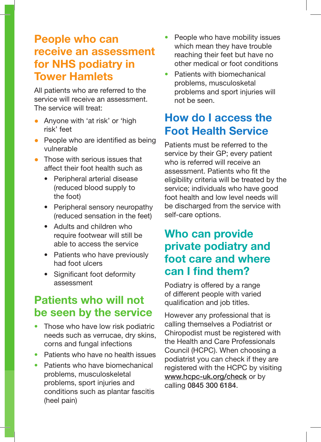#### **People who can receive an assessment for NHS podiatry in Tower Hamlets**

All patients who are referred to the service will receive an assessment. The service will treat:

- Anyone with 'at risk' or 'high risk' feet
- People who are identified as being vulnerable
- Those with serious issues that affect their foot health such as
	- Peripheral arterial disease (reduced blood supply to the foot)
	- Peripheral sensory neuropathy (reduced sensation in the feet)
	- Adults and children who require footwear will still be able to access the service
	- Patients who have previously had foot ulcers
	- Significant foot deformity assessment

## **Patients who will not be seen by the service**

- Those who have low risk podiatric needs such as verrucae, dry skins, corns and fungal infections
- Patients who have no health issues
- Patients who have biomechanical problems, musculoskeletal problems, sport injuries and conditions such as plantar fascitis (heel pain)
- People who have mobility issues which mean they have trouble reaching their feet but have no other medical or foot conditions
- Patients with biomechanical problems, musculosketal problems and sport injuries will not be seen.

## **How do I access the Foot Health Service**

Patients must be referred to the service by their GP; every patient who is referred will receive an assessment. Patients who fit the eligibility criteria will be treated by the service; individuals who have good foot health and low level needs will be discharged from the service with self-care options.

## **Who can provide private podiatry and foot care and where can I find them?**

Podiatry is offered by a range of different people with varied qualification and job titles.

However any professional that is calling themselves a Podiatrist or Chiropodist must be registered with the Health and Care Professionals Council (HCPC). When choosing a podiatrist you can check if they are registered with the HCPC by visiting www.hcpc-uk.org/check or by calling 0845 300 6184.